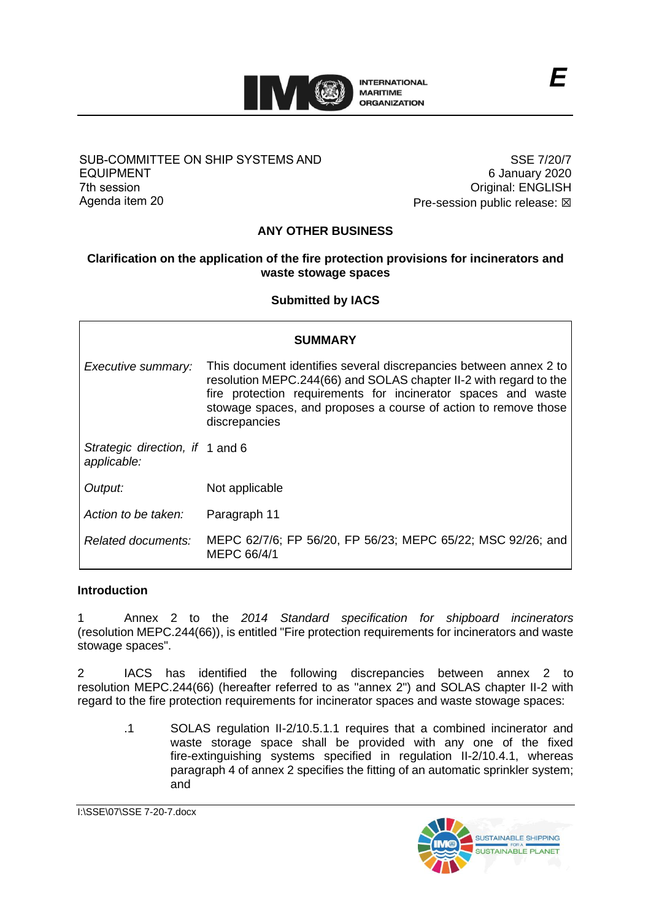

### SUB-COMMITTEE ON SHIP SYSTEMS AND EQUIPMENT 7th session Agenda item 20

SSE 7/20/7 6 January 2020 Original: ENGLISH Pre-session public release:  $\boxtimes$ 

# **ANY OTHER BUSINESS**

# **Clarification on the application of the fire protection provisions for incinerators and waste stowage spaces**

**Submitted by IACS**

| SUMMARY                                        |                                                                                                                                                                                                                                                                                             |
|------------------------------------------------|---------------------------------------------------------------------------------------------------------------------------------------------------------------------------------------------------------------------------------------------------------------------------------------------|
| Executive summary:                             | This document identifies several discrepancies between annex 2 to<br>resolution MEPC.244(66) and SOLAS chapter II-2 with regard to the<br>fire protection requirements for incinerator spaces and waste<br>stowage spaces, and proposes a course of action to remove those<br>discrepancies |
| Strategic direction, if 1 and 6<br>applicable: |                                                                                                                                                                                                                                                                                             |
| Output:                                        | Not applicable                                                                                                                                                                                                                                                                              |
| Action to be taken:                            | Paragraph 11                                                                                                                                                                                                                                                                                |
| Related documents:                             | MEPC 62/7/6; FP 56/20, FP 56/23; MEPC 65/22; MSC 92/26; and<br>MEPC 66/4/1                                                                                                                                                                                                                  |

#### **Introduction**

1 Annex 2 to the *2014 Standard specification for shipboard incinerators* (resolution MEPC.244(66)), is entitled "Fire protection requirements for incinerators and waste stowage spaces".

2 IACS has identified the following discrepancies between annex 2 to resolution MEPC.244(66) (hereafter referred to as "annex 2") and SOLAS chapter II-2 with regard to the fire protection requirements for incinerator spaces and waste stowage spaces:

.1 SOLAS regulation II-2/10.5.1.1 requires that a combined incinerator and waste storage space shall be provided with any one of the fixed fire-extinguishing systems specified in regulation II-2/10.4.1, whereas paragraph 4 of annex 2 specifies the fitting of an automatic sprinkler system; and

I:\SSE\07\SSE 7-20-7.docx

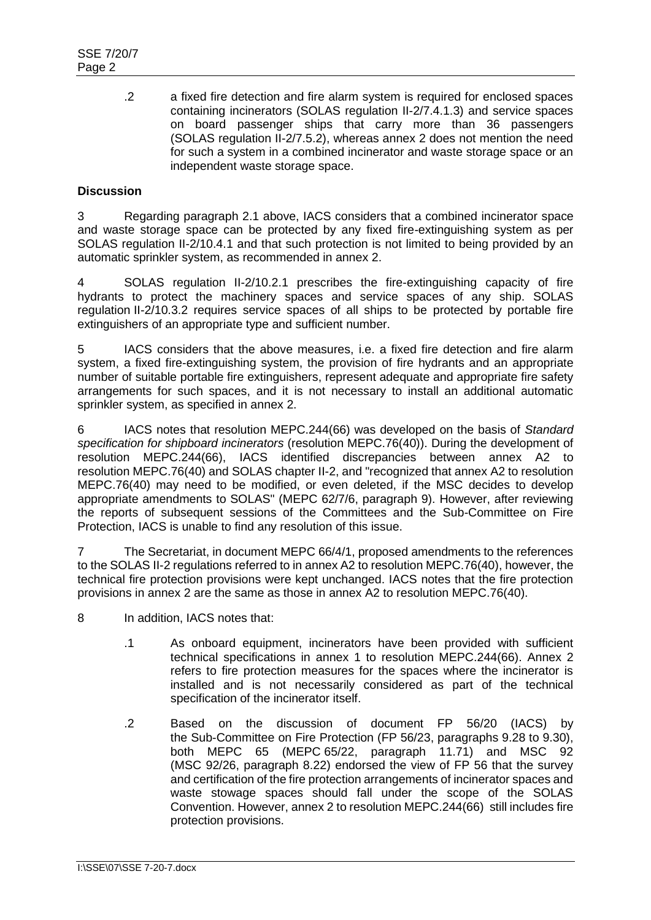.2 a fixed fire detection and fire alarm system is required for enclosed spaces containing incinerators (SOLAS regulation II-2/7.4.1.3) and service spaces on board passenger ships that carry more than 36 passengers (SOLAS regulation II-2/7.5.2), whereas annex 2 does not mention the need for such a system in a combined incinerator and waste storage space or an independent waste storage space.

# **Discussion**

3 Regarding paragraph 2.1 above, IACS considers that a combined incinerator space and waste storage space can be protected by any fixed fire-extinguishing system as per SOLAS regulation II-2/10.4.1 and that such protection is not limited to being provided by an automatic sprinkler system, as recommended in annex 2.

4 SOLAS regulation II-2/10.2.1 prescribes the fire-extinguishing capacity of fire hydrants to protect the machinery spaces and service spaces of any ship. SOLAS regulation II-2/10.3.2 requires service spaces of all ships to be protected by portable fire extinguishers of an appropriate type and sufficient number.

5 IACS considers that the above measures, i.e. a fixed fire detection and fire alarm system, a fixed fire-extinguishing system, the provision of fire hydrants and an appropriate number of suitable portable fire extinguishers, represent adequate and appropriate fire safety arrangements for such spaces, and it is not necessary to install an additional automatic sprinkler system, as specified in annex 2.

6 IACS notes that resolution MEPC.244(66) was developed on the basis of *Standard specification for shipboard incinerators* (resolution MEPC.76(40)). During the development of resolution MEPC.244(66), IACS identified discrepancies between annex A2 to resolution MEPC.76(40) and SOLAS chapter II-2, and "recognized that annex A2 to resolution MEPC.76(40) may need to be modified, or even deleted, if the MSC decides to develop appropriate amendments to SOLAS" (MEPC 62/7/6, paragraph 9). However, after reviewing the reports of subsequent sessions of the Committees and the Sub-Committee on Fire Protection, IACS is unable to find any resolution of this issue.

7 The Secretariat, in document MEPC 66/4/1, proposed amendments to the references to the SOLAS II-2 regulations referred to in annex A2 to resolution MEPC.76(40), however, the technical fire protection provisions were kept unchanged. IACS notes that the fire protection provisions in annex 2 are the same as those in annex A2 to resolution MEPC.76(40).

- 8 In addition, IACS notes that:
	- .1 As onboard equipment, incinerators have been provided with sufficient technical specifications in annex 1 to resolution MEPC.244(66). Annex 2 refers to fire protection measures for the spaces where the incinerator is installed and is not necessarily considered as part of the technical specification of the incinerator itself.
	- .2 Based on the discussion of document FP 56/20 (IACS) by the Sub-Committee on Fire Protection (FP 56/23, paragraphs 9.28 to 9.30), both MEPC 65 (MEPC 65/22, paragraph 11.71) and MSC 92 (MSC 92/26, paragraph 8.22) endorsed the view of FP 56 that the survey and certification of the fire protection arrangements of incinerator spaces and waste stowage spaces should fall under the scope of the SOLAS Convention. However, annex 2 to resolution MEPC.244(66) still includes fire protection provisions.